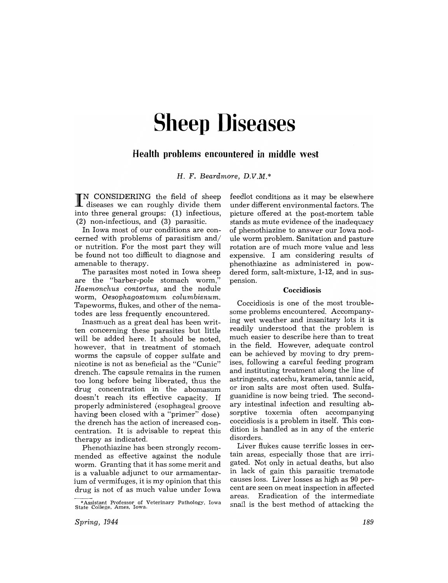# **Sheep Diseases**

## **Health problems encountered in middle west**

H. F. *Beardmore, D.V.M.* \*

I N CONSIDERING the field of sheep diseases we can roughly divide them into three general groups: (1) infectious, (2) non-infectious, and (3) parasitic.

In Iowa most of our conditions are concerned with problems of parasitism and/ or nutrition. For the most part they will be found not too difficult to diagnose and amenable to therapy.

The parasites most noted in Iowa sheep are the "barber-pole stomach worm," *Haemonchus contortus,* and the nodule worm, *Oesophagostomum columbianmn.*  Tapeworms, flukes, and other of the nematodes are less frequently encountered.

Inasmuch as a great deal has been written concerning these parasites but little will be added here. It should be noted, however, that in treatment of stomach worms the capsule of copper sulfate and nicotine is not as beneficial as the "Cunic" drench. The capsule remains in the rumen too long before being liberated, thus the drug concentration in the abomasum doesn't reach its effective capacity. If properly administered (esophageal groove having been closed with a "primer" dose) the drench has the action of increased concentration. It is advisable to repeat this therapy as indicated.

Phenothiazine has been strongly recommended as effective against the nodule worm. Granting that it has some merit and is a valuable adjunct to our armamentarium of vermifuges, it is my opinion that this drug is not of as much value under Iowa

feedlot conditions as it may be elsewhere under different environmental factors. The picture offered at the post-mortem table stands as mute evidence of the inadequacy of phenothiazine to answer our Iowa nodule worm problem. Sanitation and pasture rotation are of much more value and less expensive. I am considering results of phenothiazine as administered in powdered form, salt-mixture, 1-12, and in suspension.

#### Coccidiosis

Coccidiosis is one of the most troublesome problems encountered. Accompanying wet weather and insanitary lots it is readily understood that the problem is much easier to describe here than to treat in the field. However, adequate control can be achieved by moving to dry premises, following a careful feeding program and instituting treatment along the line of astringents, catechu, krameria, tannic acid, or iron salts are most often used. Sulfaguanidine is now being tried. The secondary intestinal infection and resulting absorptive toxemia often accompanying coccidiosis is a problem in itself. This condition is handled as in any of the enteric disorders.

Liver flukes cause terrific losses in certain areas, especially those that are irrigated. Not only in actual deaths, but also in lack of gain this parasitic trematode causes loss. Liver losses as high as 90 percent are seen on meat inspection in affected areas. Eradication of the intermediate snail is the best method of attacking the

<sup>\*</sup> Assistant Professor of Veterinary Pathology. Iowa State College. Ames, Iowa.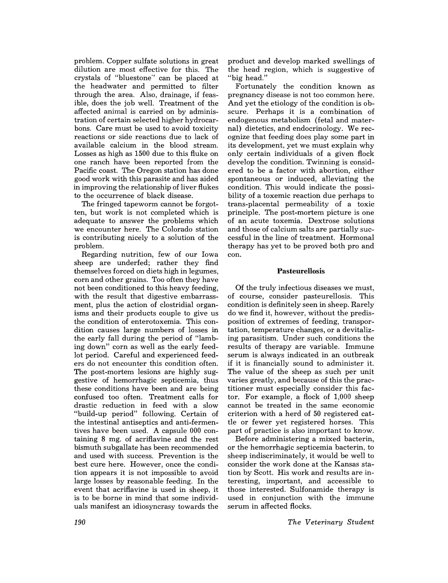problem. Copper sulfate solutions in great dilution are most effective for this. The crystals of "bluestone" can be placed at the headwater and permitted to filter through the area. Also, drainage, if feasible, does the job well. Treatment of the affected animal is carried on by administration of certain selected higher hydrocarbons. Care must be used to avoid toxicity reactions or side reactions due to lack of available calcium in the blood stream. Losses as high as 1500 due to this fluke on one ranch have been reported from the Pacific coast. The Oregon station has done good work with this parasite and has aided in improving the relationship of liver flukes to the occurrence of black disease.

The fringed tapeworm cannot be forgotten, but work is not completed which is adequate to answer the problems which we encounter here. The Colorado station is contributing nicely to a solution of the problem.

Regarding nutrition, few of our Iowa sheep are underfed; rather they find themselves forced on diets high in legumes, corn and other grains. Too often they have not been conditioned to this heavy feeding, with the result that digestive embarrassment, plus the action of clostridial organisms and their products couple to give us the condition of enterotoxemia. This condition causes large numbers of losses in the early fall during the period of "lambing down" corn as well as the early feedlot period. Careful and experienced feeders do not encounter this condition often. The post-mortem lesions are highly suggestive of hemorrhagic septicemia, thus these conditions have been and are being confused too often. Treatment calls for drastic reduction in feed with a slow "build-up period" following. Certain of the intestinal antiseptics and anti-fermentives have been used. A capsule 000 containing 8 mg. of acriflavine and the rest bismuth subgallate has been recommended and used with success. Prevention is the best cure here. However, once the condition appears it is not impossible to avoid large losses by reasonable feeding. **In** the event that acriflavine is used in sheep, it is to be borne in mind that some individuals manifest an idiosyncrasy towards the

product and develop marked swellings of the head region, which is suggestive of "big head."

Fortunately the condition known as pregnancy disease is not too common here. And yet the etiology of the condition is obscure. Perhaps it is a combination of endogenous metabolism (fetal and maternal) dietetics, and endocrinology. We recognize that feeding does play some part in its development, yet we must explain why only certain individuals of a given flock develop the condition. Twinning is considered to be a factor with abortion, either spontaneous or induced, alleviating the condition. This would indicate the possibility of a toxemic reaction due perhaps to trans-placental permeability of a toxic principle. The post-mortem picture is one of an acute toxemia. Dextrose solutions and those of calcium salts are partially successful in the line of treatment. Hormonal therapy has yet to be proved both pro and con.

### **Pasteurellosis**

Of the truly infectious diseases we must, of course, consider pasteurellosis. This condition is definitely seen in sheep. Rarely do we find it, however, without the predisposition of extremes of feeding, transportation, temperature changes, or a devitalizing parasitism. Under such conditions the results of therapy are variable. Immune serum is always indicated in an outbreak if it is financially sound to administer it. The value of the sheep as such per unit varies greatly, and because of this the practitioner must especially consider this factor. For example, a flock of 1,000 sheep cannot be treated in the same economic criterion with a herd of 50 registered cattle or fewer yet registered horses. This part of practice is also important to know.

Before administering a mixed bacterin, or the hemorrhagic septicemia bacterin, to sheep indiscriminately, it would be well to consider the work done at the Kansas station by Scott. His work and results are interesting, important, and accessible to those interested. Sulfonamide therapy is used in conjunction with the immune serum in affected flocks.

*The Veterinary Student*